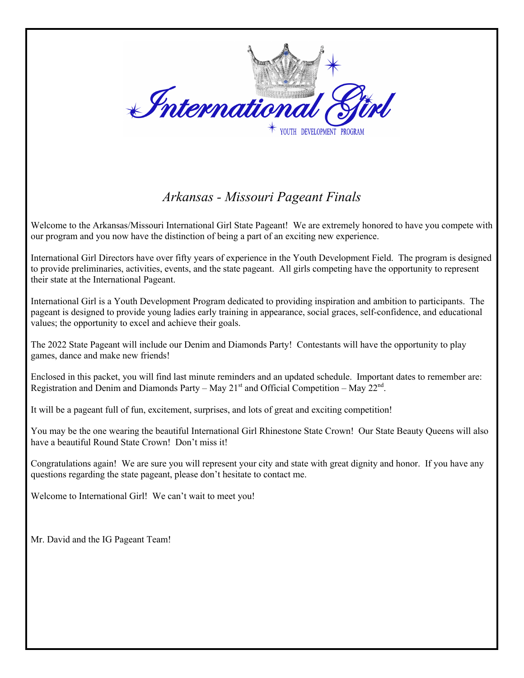

## *Arkansas - Missouri Pageant Finals*

Welcome to the Arkansas/Missouri International Girl State Pageant! We are extremely honored to have you compete with our program and you now have the distinction of being a part of an exciting new experience.

International Girl Directors have over fifty years of experience in the Youth Development Field. The program is designed to provide preliminaries, activities, events, and the state pageant. All girls competing have the opportunity to represent their state at the International Pageant.

International Girl is a Youth Development Program dedicated to providing inspiration and ambition to participants. The pageant is designed to provide young ladies early training in appearance, social graces, self-confidence, and educational values; the opportunity to excel and achieve their goals.

The 2022 State Pageant will include our Denim and Diamonds Party! Contestants will have the opportunity to play games, dance and make new friends!

Enclosed in this packet, you will find last minute reminders and an updated schedule. Important dates to remember are: Registration and Denim and Diamonds Party – May  $21<sup>st</sup>$  and Official Competition – May  $22<sup>nd</sup>$ .

It will be a pageant full of fun, excitement, surprises, and lots of great and exciting competition!

You may be the one wearing the beautiful International Girl Rhinestone State Crown! Our State Beauty Queens will also have a beautiful Round State Crown! Don't miss it! 

Congratulations again! We are sure you will represent your city and state with great dignity and honor. If you have any questions regarding the state pageant, please don't hesitate to contact me.

Welcome to International Girl! We can't wait to meet you!

Mr. David and the IG Pageant Team!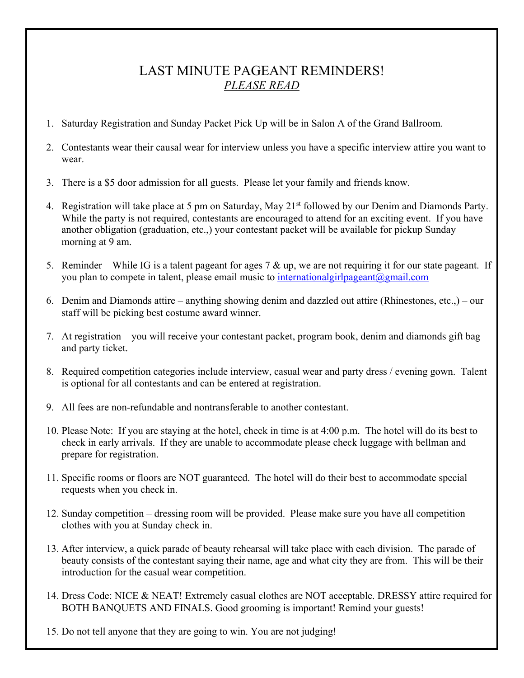## LAST MINUTE PAGEANT REMINDERS! *PLEASE READ*

- 1. Saturday Registration and Sunday Packet Pick Up will be in Salon A of the Grand Ballroom.
- 2. Contestants wear their causal wear for interview unless you have a specific interview attire you want to wear.
- 3. There is a \$5 door admission for all guests. Please let your family and friends know.
- 4. Registration will take place at 5 pm on Saturday, May 21<sup>st</sup> followed by our Denim and Diamonds Party. While the party is not required, contestants are encouraged to attend for an exciting event. If you have another obligation (graduation, etc.,) your contestant packet will be available for pickup Sunday morning at 9 am.
- 5. Reminder While IG is a talent pageant for ages 7  $\&$  up, we are not requiring it for our state pageant. If you plan to compete in talent, please email music to international girlpageant  $(a)$ gmail.com
- 6. Denim and Diamonds attire anything showing denim and dazzled out attire (Rhinestones, etc.,) our staff will be picking best costume award winner.
- 7. At registration you will receive your contestant packet, program book, denim and diamonds gift bag and party ticket.
- 8. Required competition categories include interview, casual wear and party dress / evening gown. Talent is optional for all contestants and can be entered at registration.
- 9. All fees are non-refundable and nontransferable to another contestant.
- 10. Please Note: If you are staying at the hotel, check in time is at 4:00 p.m. The hotel will do its best to check in early arrivals. If they are unable to accommodate please check luggage with bellman and prepare for registration.
- 11. Specific rooms or floors are NOT guaranteed. The hotel will do their best to accommodate special requests when you check in.
- 12. Sunday competition dressing room will be provided. Please make sure you have all competition clothes with you at Sunday check in.
- 13. After interview, a quick parade of beauty rehearsal will take place with each division. The parade of beauty consists of the contestant saying their name, age and what city they are from. This will be their introduction for the casual wear competition.
- 14. Dress Code: NICE & NEAT! Extremely casual clothes are NOT acceptable. DRESSY attire required for BOTH BANQUETS AND FINALS. Good grooming is important! Remind your guests!
- 15. Do not tell anyone that they are going to win. You are not judging!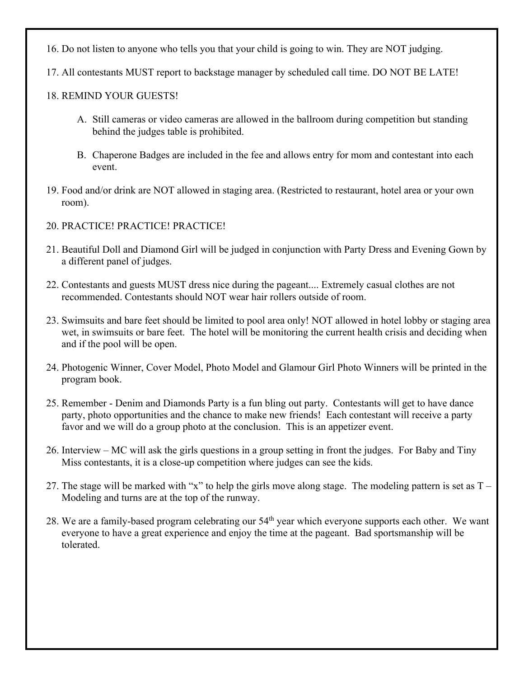- 16. Do not listen to anyone who tells you that your child is going to win. They are NOT judging.
- 17. All contestants MUST report to backstage manager by scheduled call time. DO NOT BE LATE!

### 18. REMIND YOUR GUESTS!

- A. Still cameras or video cameras are allowed in the ballroom during competition but standing behind the judges table is prohibited.
- B. Chaperone Badges are included in the fee and allows entry for mom and contestant into each event.
- 19. Food and/or drink are NOT allowed in staging area. (Restricted to restaurant, hotel area or your own room).
- 20. PRACTICE! PRACTICE! PRACTICE!
- 21. Beautiful Doll and Diamond Girl will be judged in conjunction with Party Dress and Evening Gown by a different panel of judges.
- 22. Contestants and guests MUST dress nice during the pageant.... Extremely casual clothes are not recommended. Contestants should NOT wear hair rollers outside of room.
- 23. Swimsuits and bare feet should be limited to pool area only! NOT allowed in hotel lobby or staging area wet, in swimsuits or bare feet. The hotel will be monitoring the current health crisis and deciding when and if the pool will be open.
- 24. Photogenic Winner, Cover Model, Photo Model and Glamour Girl Photo Winners will be printed in the program book.
- 25. Remember Denim and Diamonds Party is a fun bling out party. Contestants will get to have dance party, photo opportunities and the chance to make new friends! Each contestant will receive a party favor and we will do a group photo at the conclusion. This is an appetizer event.
- 26. Interview MC will ask the girls questions in a group setting in front the judges. For Baby and Tiny Miss contestants, it is a close-up competition where judges can see the kids.
- 27. The stage will be marked with "x" to help the girls move along stage. The modeling pattern is set as  $T -$ Modeling and turns are at the top of the runway.
- 28. We are a family-based program celebrating our 54<sup>th</sup> year which everyone supports each other. We want everyone to have a great experience and enjoy the time at the pageant. Bad sportsmanship will be tolerated.